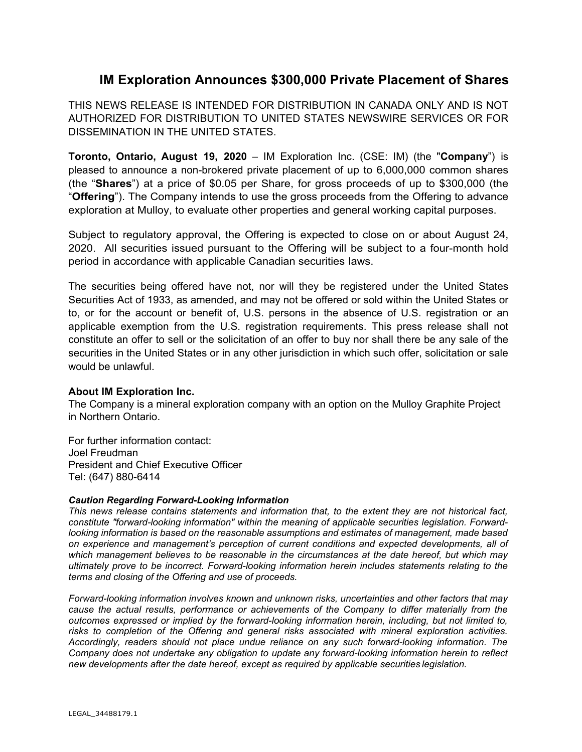## **IM Exploration Announces \$300,000 Private Placement of Shares**

THIS NEWS RELEASE IS INTENDED FOR DISTRIBUTION IN CANADA ONLY AND IS NOT AUTHORIZED FOR DISTRIBUTION TO UNITED STATES NEWSWIRE SERVICES OR FOR DISSEMINATION IN THE UNITED STATES.

**Toronto, Ontario, August 19, 2020** – IM Exploration Inc. (CSE: IM) (the "**Company**") is pleased to announce a non-brokered private placement of up to 6,000,000 common shares (the "**Shares**") at a price of \$0.05 per Share, for gross proceeds of up to \$300,000 (the "**Offering**"). The Company intends to use the gross proceeds from the Offering to advance exploration at Mulloy, to evaluate other properties and general working capital purposes.

Subject to regulatory approval, the Offering is expected to close on or about August 24, 2020. All securities issued pursuant to the Offering will be subject to a four-month hold period in accordance with applicable Canadian securities laws.

The securities being offered have not, nor will they be registered under the United States Securities Act of 1933, as amended, and may not be offered or sold within the United States or to, or for the account or benefit of, U.S. persons in the absence of U.S. registration or an applicable exemption from the U.S. registration requirements. This press release shall not constitute an offer to sell or the solicitation of an offer to buy nor shall there be any sale of the securities in the United States or in any other jurisdiction in which such offer, solicitation or sale would be unlawful.

## **About IM Exploration Inc.**

The Company is a mineral exploration company with an option on the Mulloy Graphite Project in Northern Ontario.

For further information contact: Joel Freudman President and Chief Executive Officer Tel: (647) 880-6414

## *Caution Regarding Forward-Looking Information*

*This news release contains statements and information that, to the extent they are not historical fact, constitute "forward-looking information" within the meaning of applicable securities legislation. Forwardlooking information is based on the reasonable assumptions and estimates of management, made based on experience and management's perception of current conditions and expected developments, all of which management believes to be reasonable in the circumstances at the date hereof, but which may ultimately prove to be incorrect. Forward-looking information herein includes statements relating to the terms and closing of the Offering and use of proceeds.* 

*Forward-looking information involves known and unknown risks, uncertainties and other factors that may cause the actual results, performance or achievements of the Company to differ materially from the outcomes expressed or implied by the forward-looking information herein, including, but not limited to, risks to completion of the Offering and general risks associated with mineral exploration activities. Accordingly, readers should not place undue reliance on any such forward-looking information. The Company does not undertake any obligation to update any forward-looking information herein to reflect new developments after the date hereof, except as required by applicable securities legislation.*